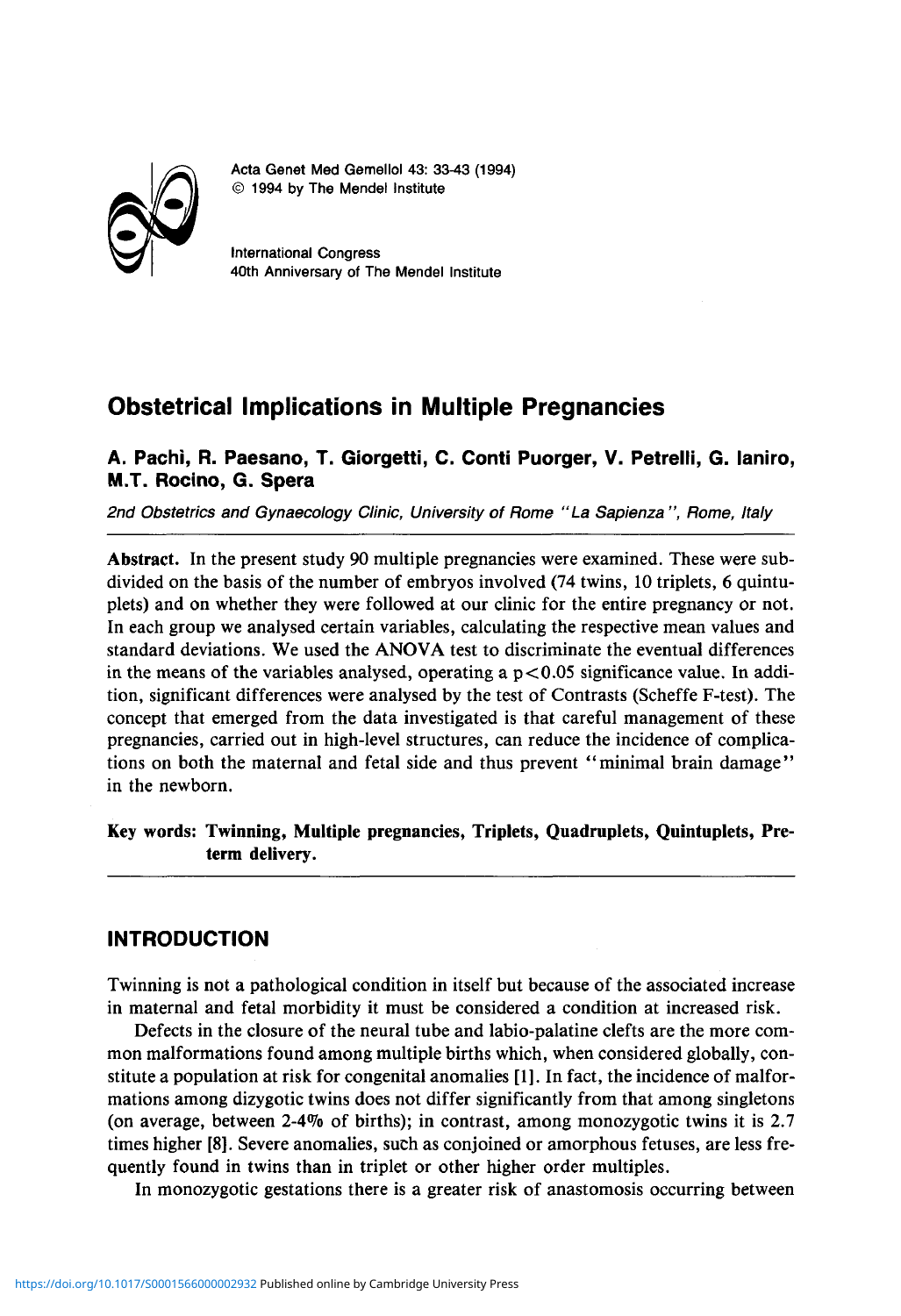

Acta Genet Med Gemellol 43: 33-43 (1994) © 1994 by The Mendel Institute

International Congress 40th Anniversary of The Mendel Institute

# **Obstetrical Implications in Multiple Pregnancies**

**A. Pachi, R. Paesano, T. Giorgetti, C. Conti Puorger, V. Petrelli, G. laniro, M.T. Rocino, G. Spera** 

2nd Obstetrics and Gynaecology Clinic, University of Rome "La Sapienza ", Rome, Italy

**Abstract.** In the present study 90 multiple pregnancies were examined. These were subdivided on the basis of the number of embryos involved (74 twins, 10 triplets, 6 quintuplets) and on whether they were followed at our clinic for the entire pregnancy or not. In each group we analysed certain variables, calculating the respective mean values and standard deviations. We used the ANOVA test to discriminate the eventual differences in the means of the variables analysed, operating a  $p < 0.05$  significance value. In addition, significant differences were analysed by the test of Contrasts (Scheffe F-test). The concept that emerged from the data investigated is that careful management of these pregnancies, carried out in high-level structures, can reduce the incidence of complications on both the maternal and fetal side and thus prevent "minimal brain damage" in the newborn.

**Key words: Twinning, Multiple pregnancies, Triplets, Quadruplets, Quintuplets, Preterm delivery.** 

# **INTRODUCTION**

Twinning is not a pathological condition in itself but because of the associated increase in maternal and fetal morbidity it must be considered a condition at increased risk.

Defects in the closure of the neural tube and labio-palatine clefts are the more common malformations found among multiple births which, when considered globally, constitute a population at risk for congenital anomalies [1]. In fact, the incidence of malformations among dizygotic twins does not differ significantly from that among singletons (on average, between 2-4% of births); in contrast, among monozygotic twins it is 2.7 times higher [8]. Severe anomalies, such as conjoined or amorphous fetuses, are less frequently found in twins than in triplet or other higher order multiples.

In monozygotic gestations there is a greater risk of anastomosis occurring between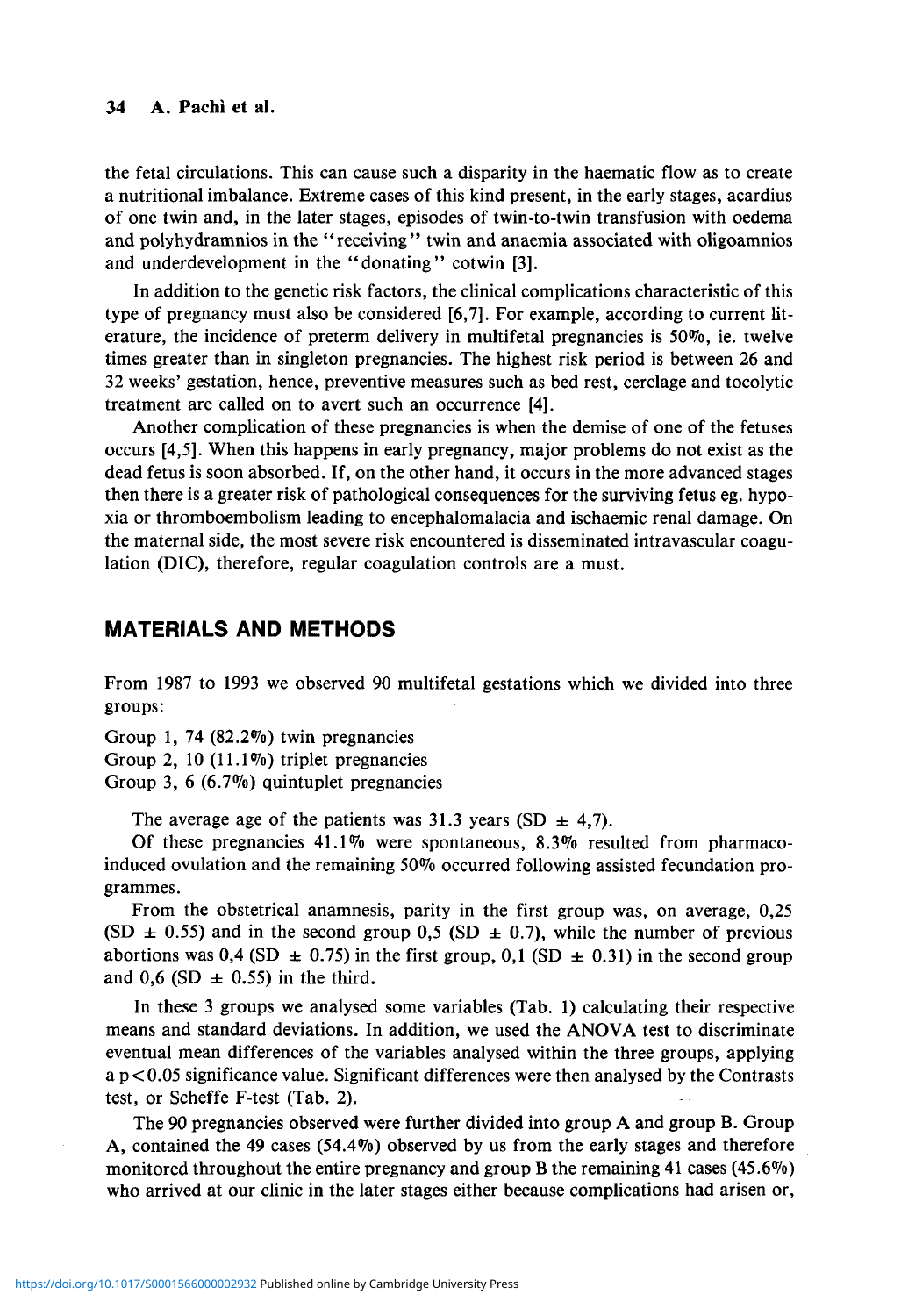#### **34 A. Pachi et al.**

the fetal circulations. This can cause such a disparity in the haematic flow as to create a nutritional imbalance. Extreme cases of this kind present, in the early stages, acardius of one twin and, in the later stages, episodes of twin-to-twin transfusion with oedema and polyhydramnios in the "receiving" twin and anaemia associated with oligoamnios and underdevelopment in the "donating" cotwin [3].

In addition to the genetic risk factors, the clinical complications characteristic of this type of pregnancy must also be considered [6,7]. For example, according to current literature, the incidence of preterm delivery in multifetal pregnancies is 50%, ie. twelve times greater than in singleton pregnancies. The highest risk period is between 26 and 32 weeks' gestation, hence, preventive measures such as bed rest, cerclage and tocolytic treatment are called on to avert such an occurrence **[4].** 

Another complication of these pregnancies is when the demise of one of the fetuses occurs [4,5]. When this happens in early pregnancy, major problems do not exist as the dead fetus is soon absorbed. If, on the other hand, it occurs in the more advanced stages then there is a greater risk of pathological consequences for the surviving fetus eg. hypoxia or thromboembolism leading to encephalomalacia and ischaemic renal damage. On the maternal side, the most severe risk encountered is disseminated intravascular coagulation (DIC), therefore, regular coagulation controls are a must.

#### **MATERIALS AND METHODS**

From 1987 to 1993 we observed 90 multifetal gestations which we divided into three groups:

Group 1, 74 (82.2%) twin pregnancies Group 2, 10 (11.1%) triplet pregnancies Group 3, 6 (6.7%) quintuplet pregnancies

The average age of the patients was 31.3 years (SD  $\pm$  4,7).

Of these pregnancies **41.1%** were spontaneous, 8.3% resulted from pharmacoinduced ovulation and the remaining 50% occurred following assisted fecundation programmes.

From the obstetrical anamnesis, parity in the first group was, on average, 0,25 (SD  $\pm$  0.55) and in the second group 0,5 (SD  $\pm$  0.7), while the number of previous abortions was 0,4 (SD  $\pm$  0.75) in the first group, 0,1 (SD  $\pm$  0.31) in the second group and 0,6 (SD  $\pm$  0.55) in the third.

In these 3 groups we analysed some variables (Tab. 1) calculating their respective means and standard deviations. In addition, we used the ANOVA test to discriminate eventual mean differences of the variables analysed within the three groups, applying  $a$  p $<$ 0.05 significance value. Significant differences were then analysed by the Contrasts test, or Scheffe F-test (Tab. 2).

The 90 pregnancies observed were further divided into group A and group B. Group A, contained the 49 cases (54.4%) observed by us from the early stages and therefore monitored throughout the entire pregnancy and group B the remaining 41 cases  $(45.6\%)$ who arrived at our clinic in the later stages either because complications had arisen or,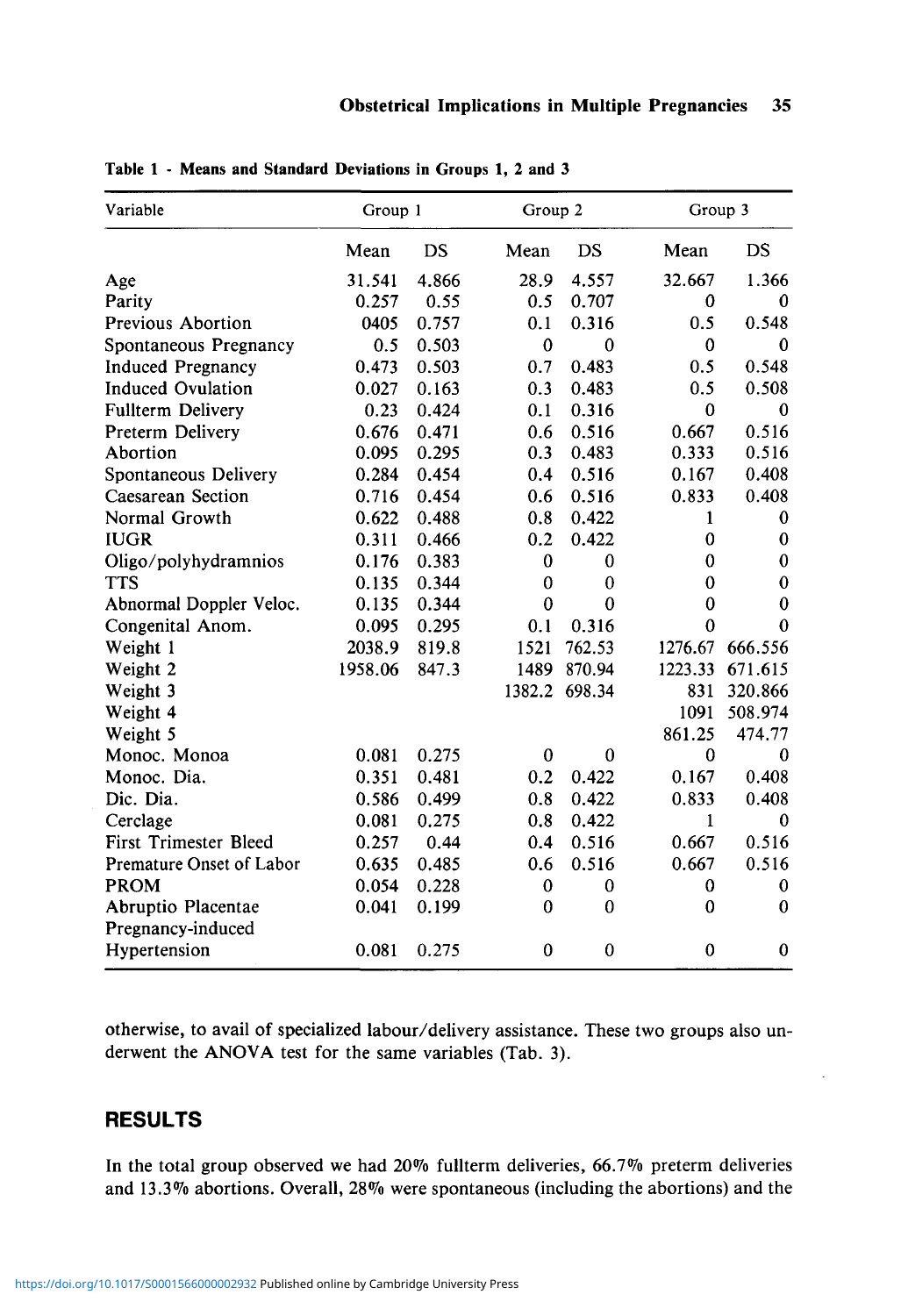| Variable                     | Group 1 |       |              | Group 2     |                  | Group 3     |  |
|------------------------------|---------|-------|--------------|-------------|------------------|-------------|--|
|                              | Mean    | DS    | Mean         | <b>DS</b>   | Mean             | DS          |  |
| Age                          | 31.541  | 4.866 | 28.9         | 4.557       | 32.667           | 1.366       |  |
| Parity                       | 0.257   | 0.55  | 0.5          | 0.707       | $\boldsymbol{0}$ | 0           |  |
| Previous Abortion            | 0405    | 0.757 | 0.1          | 0.316       | 0.5              | 0.548       |  |
| Spontaneous Pregnancy        | 0.5     | 0.503 | $\mathbf{0}$ | $\theta$    | $\mathbf{0}$     | 0           |  |
| <b>Induced Pregnancy</b>     | 0.473   | 0.503 | 0.7          | 0.483       | 0.5              | 0.548       |  |
| <b>Induced Ovulation</b>     | 0.027   | 0.163 | 0.3          | 0.483       | 0.5              | 0.508       |  |
| <b>Fullterm Delivery</b>     | 0.23    | 0.424 | 0.1          | 0.316       | $\mathbf{0}$     | $\Omega$    |  |
| Preterm Delivery             | 0.676   | 0.471 | 0.6          | 0.516       | 0.667            | 0.516       |  |
| Abortion                     | 0.095   | 0.295 | 0.3          | 0.483       | 0.333            | 0.516       |  |
| Spontaneous Delivery         | 0.284   | 0.454 | 0.4          | 0.516       | 0.167            | 0.408       |  |
| Caesarean Section            | 0.716   | 0.454 | 0.6          | 0.516       | 0.833            | 0.408       |  |
| Normal Growth                | 0.622   | 0.488 | 0.8          | 0.422       | 1                | $\bf{0}$    |  |
| <b>IUGR</b>                  | 0.311   | 0.466 | 0.2          | 0.422       | $\bf{0}$         | $\bf{0}$    |  |
| Oligo/polyhydramnios         | 0.176   | 0.383 | $\bf{0}$     | $\bf{0}$    | 0                | $\bf{0}$    |  |
| <b>TTS</b>                   | 0.135   | 0.344 | $\mathbf 0$  | $\bf{0}$    | $\bf{0}$         | $\bf{0}$    |  |
| Abnormal Doppler Veloc.      | 0.135   | 0.344 | $\bf{0}$     | $\theta$    | $\bf{0}$         | $\bf{0}$    |  |
| Congenital Anom.             | 0.095   | 0.295 | 0.1          | 0.316       | $\bf{0}$         | $\theta$    |  |
| Weight 1                     | 2038.9  | 819.8 | 1521         | 762.53      | 1276.67          | 666.556     |  |
| Weight 2                     | 1958.06 | 847.3 | 1489         | 870.94      | 1223.33          | 671.615     |  |
| Weight 3                     |         |       | 1382.2       | 698.34      | 831              | 320.866     |  |
| Weight 4                     |         |       |              |             | 1091             | 508.974     |  |
| Weight 5                     |         |       |              |             | 861.25           | 474.77      |  |
| Monoc. Monoa                 | 0.081   | 0.275 | $\bf{0}$     | 0           | $\bf{0}$         | $\bf{0}$    |  |
| Monoc. Dia.                  | 0.351   | 0.481 | 0.2          | 0.422       | 0.167            | 0.408       |  |
| Dic. Dia.                    | 0.586   | 0.499 | 0.8          | 0.422       | 0.833            | 0.408       |  |
| Cerclage                     | 0.081   | 0.275 | 0.8          | 0.422       | 1                | $\mathbf 0$ |  |
| <b>First Trimester Bleed</b> | 0.257   | 0.44  | 0.4          | 0.516       | 0.667            | 0.516       |  |
| Premature Onset of Labor     | 0.635   | 0.485 | 0.6          | 0.516       | 0.667            | 0.516       |  |
| <b>PROM</b>                  | 0.054   | 0.228 | $\bf{0}$     | 0           | $\bf{0}$         | 0           |  |
| Abruptio Placentae           | 0.041   | 0.199 | $\bf{0}$     | $\theta$    | $\mathbf{0}$     | $\theta$    |  |
| Pregnancy-induced            |         |       |              |             |                  |             |  |
| Hypertension                 | 0.081   | 0.275 | $\bf{0}$     | $\mathbf 0$ | $\bf{0}$         | $\bf{0}$    |  |

**Table 1** - **Means and Standard** Deviations in Groups **1,** 2 **and** 3

otherwise, to avail of specialized labour/delivery assistance. These two groups also underwent the ANOVA test for the same variables (Tab. 3).

## **RESULTS**

In the total group observed we had 20% fullterm deliveries, 66.7% preterm deliveries and 13.3% abortions. Overall, 28% were spontaneous (including the abortions) and the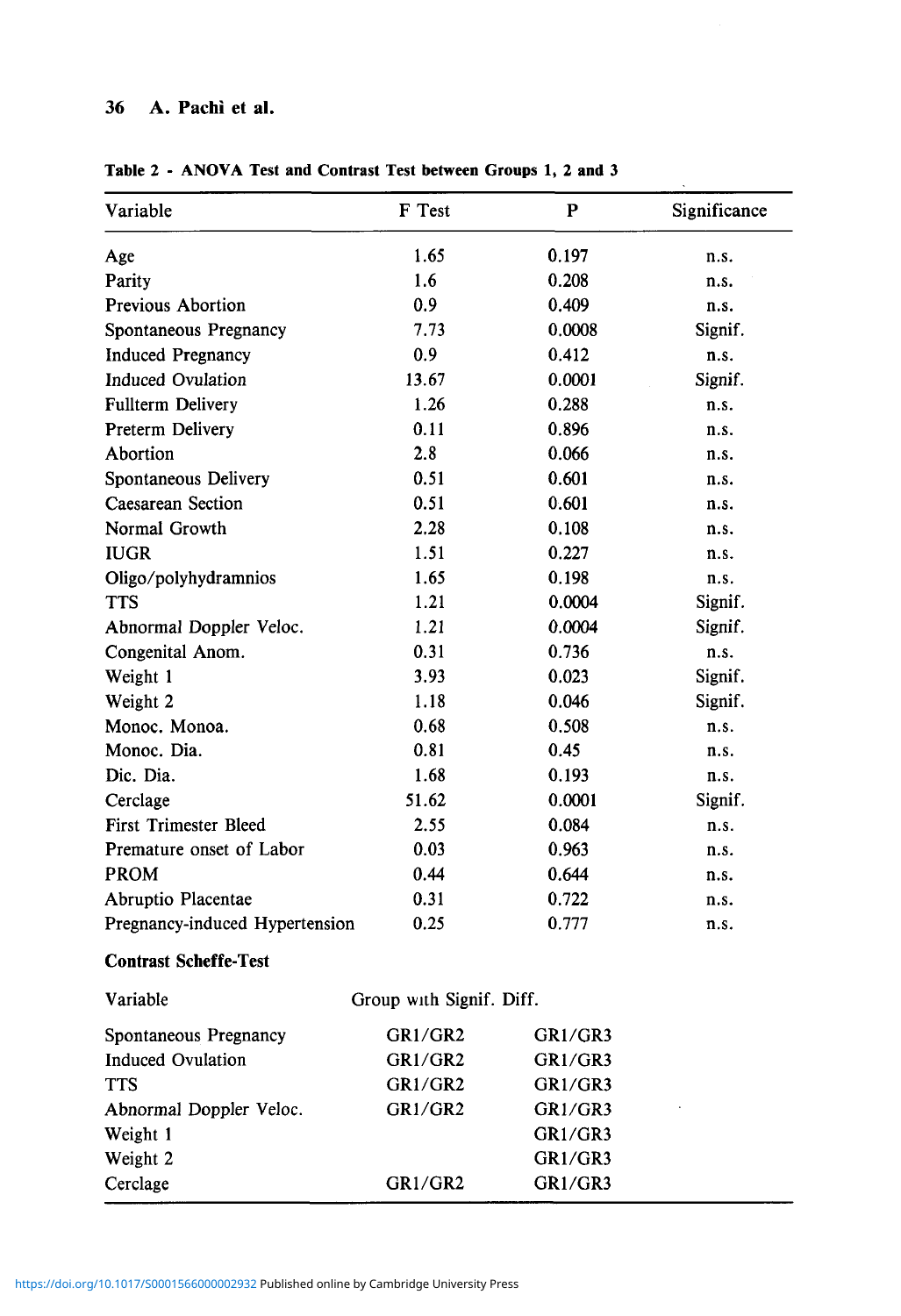## **36 A. Pachi et al.**

| Variable                       | F Test                   | P       | Significance |
|--------------------------------|--------------------------|---------|--------------|
| Age                            | 1.65                     | 0.197   | n.s.         |
| Parity                         | 1.6                      | 0.208   | n.s.         |
| <b>Previous Abortion</b>       | 0.9                      | 0.409   | n.s.         |
| Spontaneous Pregnancy          | 7.73                     | 0.0008  | Signif.      |
| <b>Induced Pregnancy</b>       | 0.9                      | 0.412   | n.s.         |
| <b>Induced Ovulation</b>       | 13.67                    | 0.0001  | Signif.      |
| <b>Fullterm Delivery</b>       | 1.26                     | 0.288   | n.s.         |
| Preterm Delivery               | 0.11                     | 0.896   | n.s.         |
| Abortion                       | 2.8                      | 0.066   | n.s.         |
| Spontaneous Delivery           | 0.51                     | 0.601   | n.s.         |
| Caesarean Section              | 0.51                     | 0.601   | n.s.         |
| Normal Growth                  | 2.28                     | 0.108   | n.s.         |
| <b>IUGR</b>                    | 1.51                     | 0.227   | n.s.         |
| Oligo/polyhydramnios           | 1.65                     | 0.198   | n.s.         |
| <b>TTS</b>                     | 1.21                     | 0.0004  | Signif.      |
| Abnormal Doppler Veloc.        | 1.21                     | 0.0004  | Signif.      |
| Congenital Anom.               | 0.31                     | 0.736   | n.s.         |
| Weight 1                       | 3.93                     | 0.023   | Signif.      |
| Weight 2                       | 1.18                     | 0.046   | Signif.      |
| Monoc. Monoa.                  | 0.68                     | 0.508   | n.s.         |
| Monoc. Dia.                    | 0.81                     | 0.45    | n.s.         |
| Dic. Dia.                      | 1.68                     | 0.193   | n.s.         |
| Cerclage                       | 51.62                    | 0.0001  | Signif.      |
| First Trimester Bleed          | 2.55                     | 0.084   | n.s.         |
| Premature onset of Labor       | 0.03                     | 0.963   | n.s.         |
| <b>PROM</b>                    | 0.44                     | 0.644   | n.s.         |
| Abruptio Placentae             | 0.31                     | 0.722   | n.s.         |
| Pregnancy-induced Hypertension | 0.25                     | 0.777   | n.s.         |
| <b>Contrast Scheffe-Test</b>   |                          |         |              |
| Variable                       | Group with Signif. Diff. |         |              |
| Spontaneous Pregnancy          | GR1/GR2                  | GR1/GR3 |              |
| <b>Induced Ovulation</b>       | GR1/GR2                  | GR1/GR3 |              |
| <b>TTS</b>                     | GR1/GR2                  | GR1/GR3 |              |
| Abnormal Doppler Veloc.        | GR1/GR2                  | GR1/GR3 |              |
| Weight 1                       |                          | GR1/GR3 |              |
| Weight 2                       |                          | GR1/GR3 |              |
| Cerclage                       | GR1/GR2                  | GR1/GR3 |              |

**Table 2 - ANOVA Test and Contrast Test between Groups 1, 2 and 3**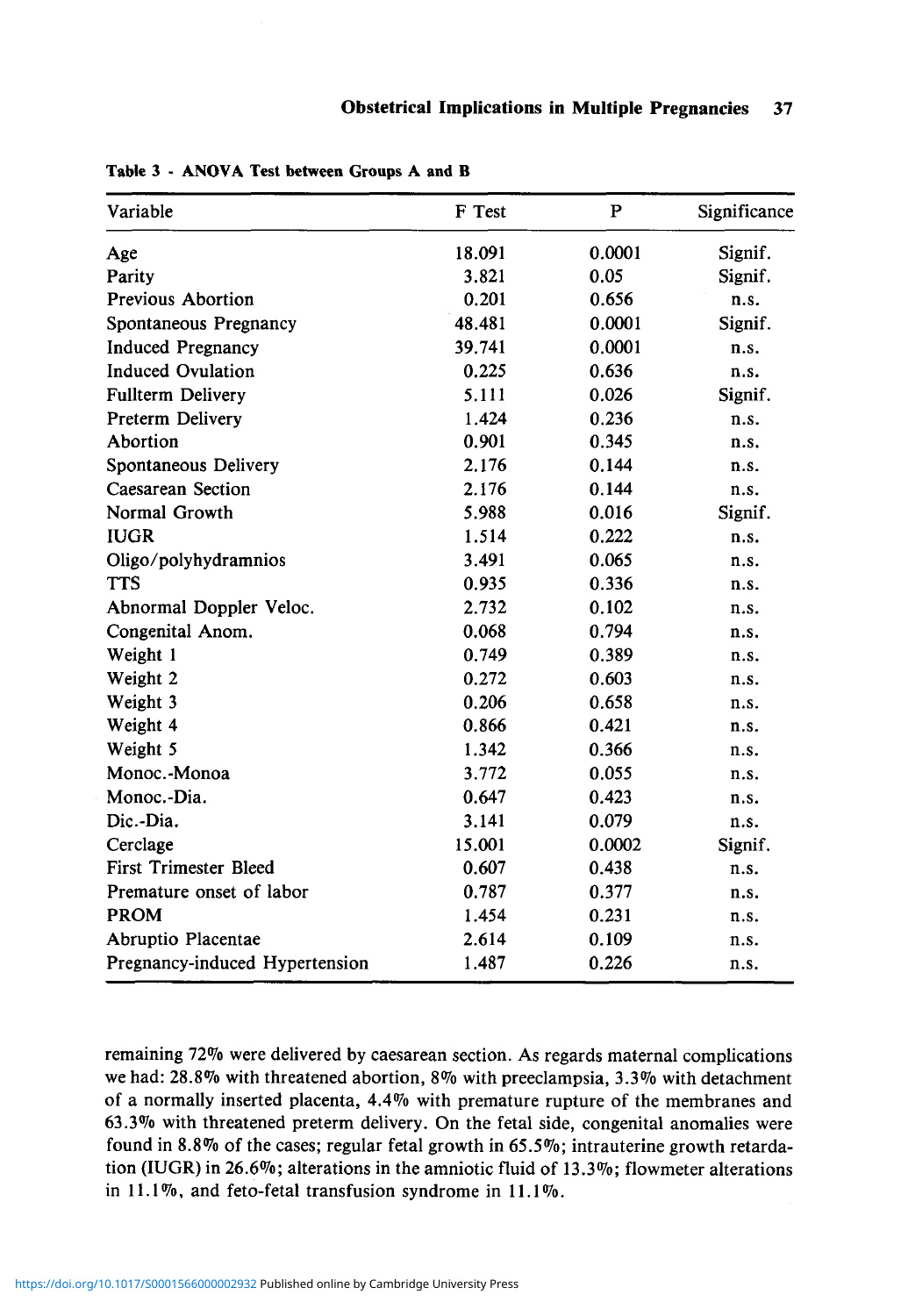| Variable                       | F Test | $\mathbf{P}$ | Significance |
|--------------------------------|--------|--------------|--------------|
| Age                            | 18.091 | 0.0001       | Signif.      |
| Parity                         | 3.821  | 0.05         | Signif.      |
| <b>Previous Abortion</b>       | 0.201  | 0.656        | n.s.         |
| Spontaneous Pregnancy          | 48.481 | 0.0001       | Signif.      |
| <b>Induced Pregnancy</b>       | 39.741 | 0.0001       | n.s.         |
| <b>Induced Ovulation</b>       | 0.225  | 0.636        | n.s.         |
| Fullterm Delivery              | 5.111  | 0.026        | Signif.      |
| Preterm Delivery               | 1.424  | 0.236        | n.s.         |
| Abortion                       | 0.901  | 0.345        | n.s.         |
| Spontaneous Delivery           | 2.176  | 0.144        | n.s.         |
| Caesarean Section              | 2.176  | 0.144        | n.s.         |
| Normal Growth                  | 5.988  | 0.016        | Signif.      |
| <b>IUGR</b>                    | 1.514  | 0.222        | n.s.         |
| Oligo/polyhydramnios           | 3.491  | 0.065        | n.s.         |
| <b>TTS</b>                     | 0.935  | 0.336        | n.s.         |
| Abnormal Doppler Veloc.        | 2.732  | 0.102        | n.s.         |
| Congenital Anom.               | 0.068  | 0.794        | n.s.         |
| Weight 1                       | 0.749  | 0.389        | n.s.         |
| Weight 2                       | 0.272  | 0.603        | n.s.         |
| Weight 3                       | 0.206  | 0.658        | n.s.         |
| Weight 4                       | 0.866  | 0.421        | n.s.         |
| Weight 5                       | 1.342  | 0.366        | n.s.         |
| Monoc.-Monoa                   | 3.772  | 0.055        | n.s.         |
| Monoc.-Dia.                    | 0.647  | 0.423        | n.s.         |
| Dic.-Dia.                      | 3.141  | 0.079        | n.s.         |
| Cerclage                       | 15.001 | 0.0002       | Signif.      |
| <b>First Trimester Bleed</b>   | 0.607  | 0.438        | n.s.         |
| Premature onset of labor       | 0.787  | 0.377        | n.s.         |
| <b>PROM</b>                    | 1.454  | 0.231        | n.s.         |
| Abruptio Placentae             | 2.614  | 0.109        | n.s.         |
| Pregnancy-induced Hypertension | 1.487  | 0.226        | n.s.         |

**Table 3** - **ANOVA Test between** Groups **A and B** 

remaining 72% were delivered by caesarean section. As regards maternal complications we had: 28.8% with threatened abortion, 8% with preeclampsia, 3.3% with detachment of a normally inserted placenta, 4.4% with premature rupture of the membranes and 63.3% with threatened preterm delivery. On the fetal side, congenital anomalies were found in 8.8% of the cases; regular fetal growth in 65.5%; intrauterine growth retardation (IUGR) in 26.6%; alterations in the amniotic fluid of 13.3%; flowmeter alterations in 11.1%, and feto-fetal transfusion syndrome in 11.1%.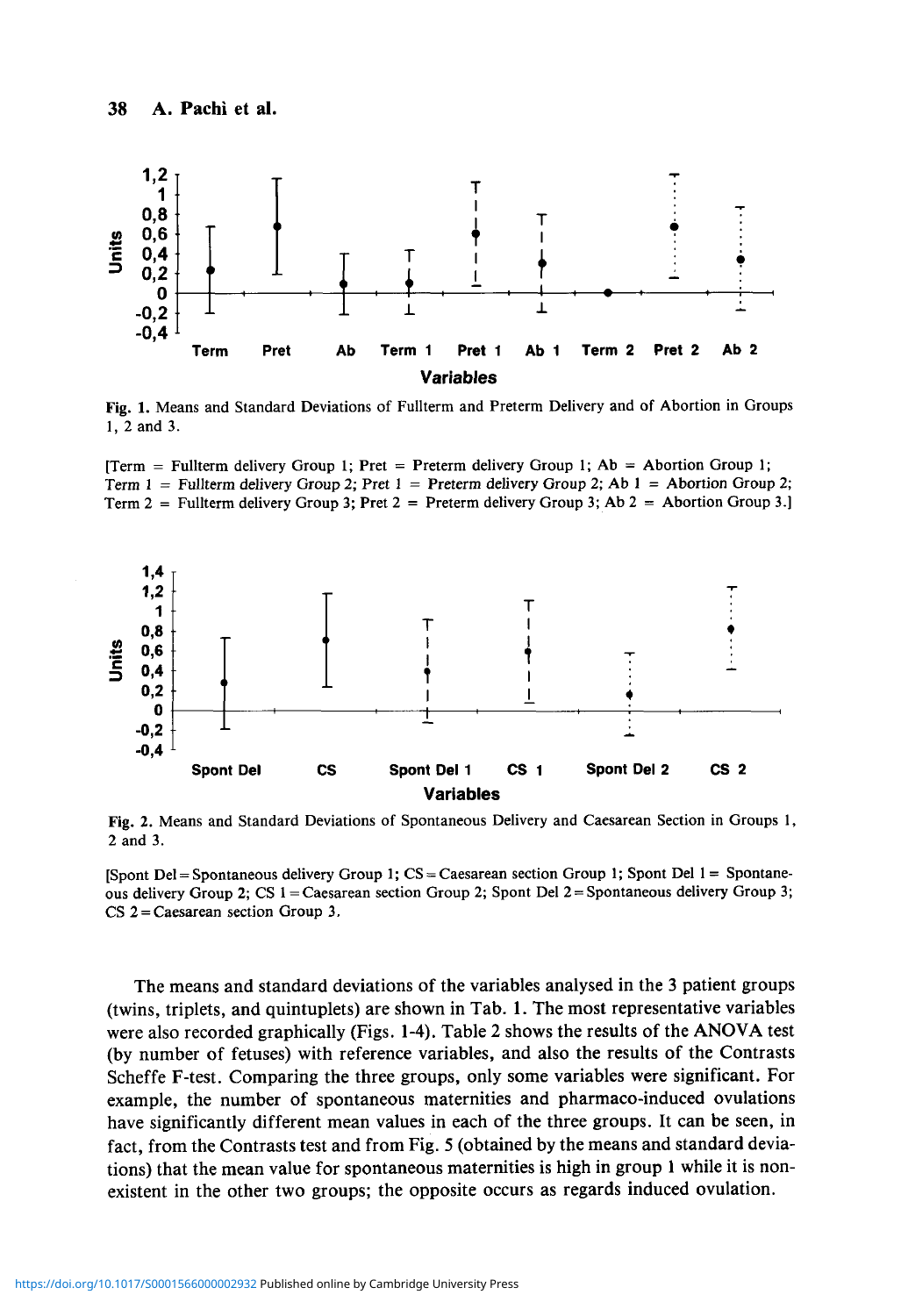

Fig. 1. Means and Standard Deviations of Fullterm and Preterm Delivery and of Abortion in Groups 1, 2 and 3.





Fig. 2. Means and Standard Deviations of Spontaneous Delivery and Caesarean Section in Groups 1, 2 and 3.

[Spont Del = Spontaneous delivery Group 1;  $CS = Caes$  section Group 1; Spont Del 1 = Spontaneous delivery Group 2; CS 1 = Caesarean section Group 2; Spont Del 2 = Spontaneous delivery Group 3;  $CS$  2 = Caesarean section Group 3.

The means and standard deviations of the variables analysed in the 3 patient groups (twins, triplets, and quintuplets) are shown in Tab. 1. The most representative variables were also recorded graphically (Figs. 1-4). Table 2 shows the results of the ANOVA test (by number of fetuses) with reference variables, and also the results of the Contrasts Scheffe F-test. Comparing the three groups, only some variables were significant. For example, the number of spontaneous maternities and pharmaco-induced ovulations have significantly different mean values in each of the three groups. It can be seen, in fact, from the Contrasts test and from Fig. 5 (obtained by the means and standard deviations) that the mean value for spontaneous maternities is high in group 1 while it is nonexistent in the other two groups; the opposite occurs as regards induced ovulation.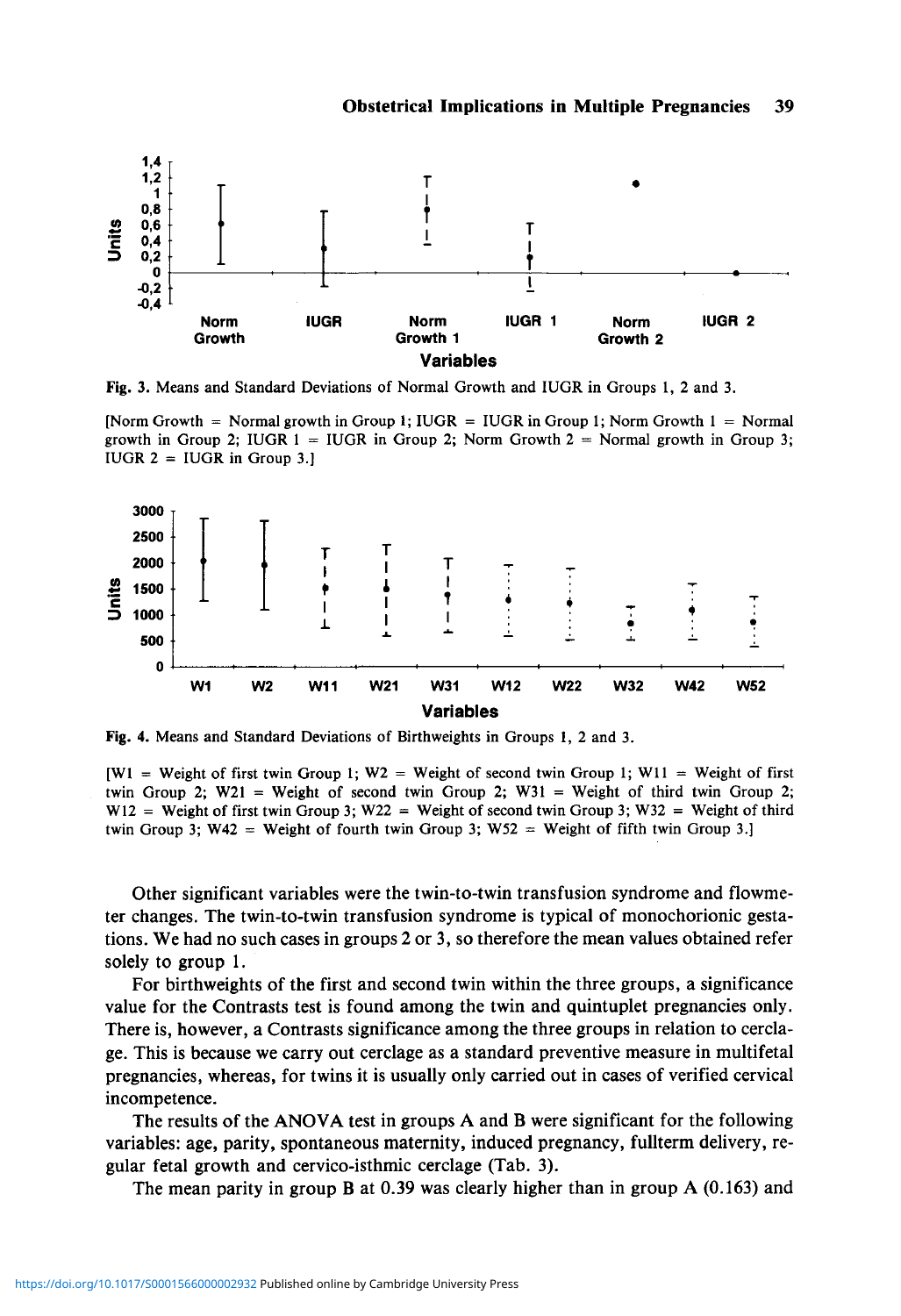

Fig. 3. Means and Standard Deviations of Normal Growth and IUGR in Groups 1, 2 and 3.

[Norm Growth = Normal growth in Group 1; IUGR = IUGR in Group 1; Norm Growth  $1 =$  Normal growth in Group 2; IUGR  $1 = I \cup G$ R in Group 2; Norm Growth  $2 =$  Normal growth in Group 3; IUGR  $2 = I \cup G$ R in Group 3.]



Fig. 4. Means and Standard Deviations of Birthweights in Groups 1, 2 and 3.

 $[W1 = Weight of first twin Group 1; W2 = Weight of second twin Group 1; W11 = Weight of first$ twin Group 2; W21 = Weight of second twin Group 2; W31 = Weight of third twin Group 2;  $W12 =$  Weight of first twin Group 3; W22 = Weight of second twin Group 3; W32 = Weight of third twin Group 3;  $W42 = Weight of fourth twin Group 3$ ;  $W52 = Weight of fifth twin Group 3$ .

Other significant variables were the twin-to-twin transfusion syndrome and flowmeter changes. The twin-to-twin transfusion syndrome is typical of monochorionic gestations. We had no such cases in groups 2 or 3, so therefore the mean values obtained refer solely to group 1.

For birthweights of the first and second twin within the three groups, a significance value for the Contrasts test is found among the twin and quintuplet pregnancies only. There is, however, a Contrasts significance among the three groups in relation to cerclage. This is because we carry out cerclage as a standard preventive measure in multifetal pregnancies, whereas, for twins it is usually only carried out in cases of verified cervical incompetence.

The results of the ANOVA test in groups A and B were significant for the following variables: age, parity, spontaneous maternity, induced pregnancy, fullterm delivery, regular fetal growth and cervico-isthmic cerclage (Tab. 3).

The mean parity in group B at 0.39 was clearly higher than in group A (0.163) and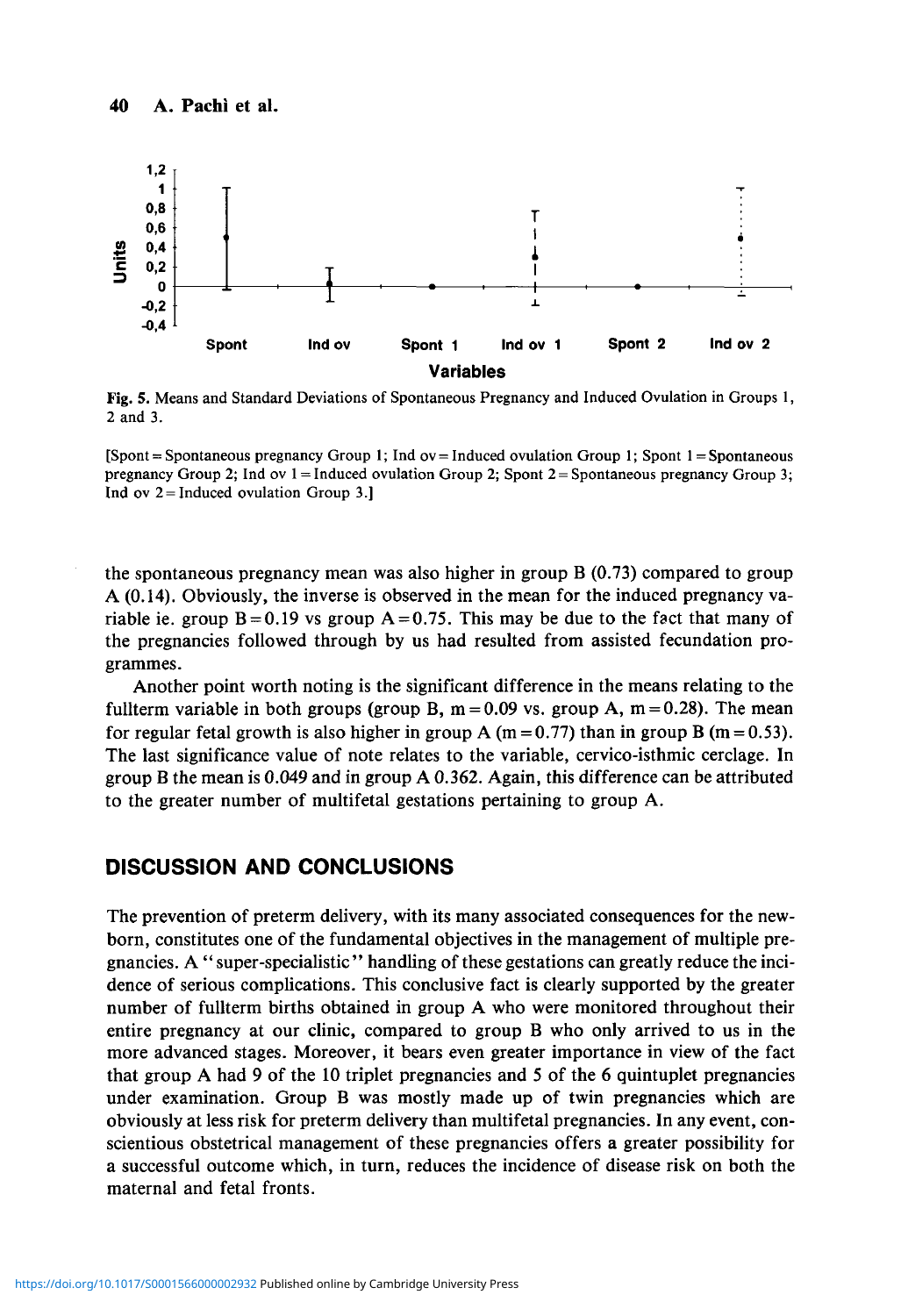

Fig. 5. Means and Standard Deviations of Spontaneous Pregnancy and Induced Ovulation in Groups 1, 2 and 3.

 $[Spont = Spontaneous pregnancy Group 1; Ind ov = Induced ovulation Group 1; Spont  $1 = Spontaneous$$ pregnancy Group 2; Ind ov  $1 =$  Induced ovulation Group 2; Spont  $2 =$  Spontaneous pregnancy Group 3; Ind ov  $2 = Induced$  ovulation Group 3.]

the spontaneous pregnancy mean was also higher in group B (0.73) compared to group A (0.14). Obviously, the inverse is observed in the mean for the induced pregnancy variable ie. group  $B = 0.19$  vs group  $A = 0.75$ . This may be due to the fact that many of the pregnancies followed through by us had resulted from assisted fecundation programmes.

Another point worth noting is the significant difference in the means relating to the fullterm variable in both groups (group B,  $m = 0.09$  vs. group A,  $m = 0.28$ ). The mean for regular fetal growth is also higher in group A (m = 0.77) than in group B (m = 0.53). The last significance value of note relates to the variable, cervico-isthmic cerclage. In group B the mean is 0.049 and in group A 0.362. Again, this difference can be attributed to the greater number of multifetal gestations pertaining to group A.

#### **DISCUSSION AND CONCLUSIONS**

The prevention of preterm delivery, with its many associated consequences for the newborn, constitutes one of the fundamental objectives in the management of multiple pregnancies. A " super-specialistic " handling of these gestations can greatly reduce the incidence of serious complications. This conclusive fact is clearly supported by the greater number of fullterm births obtained in group A who were monitored throughout their entire pregnancy at our clinic, compared to group B who only arrived to us in the more advanced stages. Moreover, it bears even greater importance in view of the fact that group A had 9 of the 10 triplet pregnancies and 5 of the 6 quintuplet pregnancies under examination. Group B was mostly made up of twin pregnancies which are obviously at less risk for preterm delivery than multifetal pregnancies. In any event, conscientious obstetrical management of these pregnancies offers a greater possibility for a successful outcome which, in turn, reduces the incidence of disease risk on both the maternal and fetal fronts.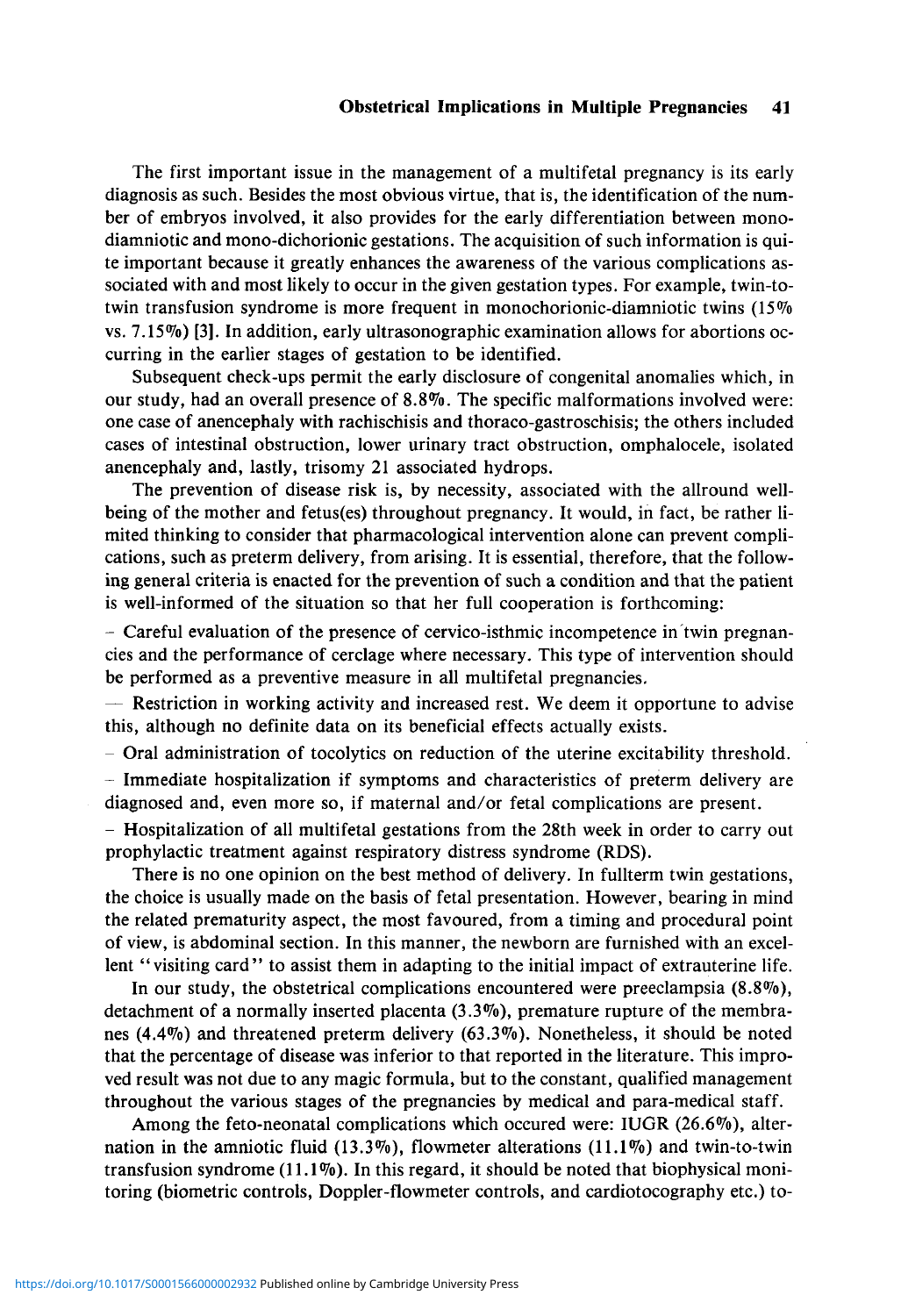#### **Obstetrical Implications in Multiple Pregnancies 41**

The first important issue in the management of a multifetal pregnancy is its early diagnosis as such. Besides the most obvious virtue, that is, the identification of the number of embryos involved, it also provides for the early differentiation between monodiamniotic and mono-dichorionic gestations. The acquisition of such information is quite important because it greatly enhances the awareness of the various complications associated with and most likely to occur in the given gestation types. For example, twin-totwin transfusion syndrome is more frequent in monochorionic-diamniotic twins (15% vs. 7.15%) [3]. In addition, early ultrasonographic examination allows for abortions occurring in the earlier stages of gestation to be identified.

Subsequent check-ups permit the early disclosure of congenital anomalies which, in our study, had an overall presence of 8.8%. The specific malformations involved were: one case of anencephaly with rachischisis and thoraco-gastroschisis; the others included cases of intestinal obstruction, lower urinary tract obstruction, omphalocele, isolated anencephaly and, lastly, trisomy 21 associated hydrops.

The prevention of disease risk is, by necessity, associated with the allround wellbeing of the mother and fetus(es) throughout pregnancy. It would, in fact, be rather limited thinking to consider that pharmacological intervention alone can prevent complications, such as preterm delivery, from arising. It is essential, therefore, that the following general criteria is enacted for the prevention of such a condition and that the patient is well-informed of the situation so that her full cooperation is forthcoming:

- Careful evaluation of the presence of cervico-isthmic incompetence in twin pregnancies and the performance of cerclage where necessary. This type of intervention should be performed as a preventive measure in all multifetal pregnancies.

- Restriction in working activity and increased rest. We deem it opportune to advise this, although no definite data on its beneficial effects actually exists.

 $-$  Oral administration of tocolytics on reduction of the uterine excitability threshold.

- Immediate hospitalization if symptoms and characteristics of preterm delivery are diagnosed and, even more so, if maternal and/or fetal complications are present.

- Hospitalization of all multifetal gestations from the 28th week in order to carry out prophylactic treatment against respiratory distress syndrome (RDS).

There is no one opinion on the best method of delivery. In fullterm twin gestations, the choice is usually made on the basis of fetal presentation. However, bearing in mind the related prematurity aspect, the most favoured, from a timing and procedural point of view, is abdominal section. In this manner, the newborn are furnished with an excellent "visiting card" to assist them in adapting to the initial impact of extrauterine life.

In our study, the obstetrical complications encountered were preeclampsia (8.8%), detachment of a normally inserted placenta  $(3.3\%)$ , premature rupture of the membranes (4.4%) and threatened preterm delivery (63.3%). Nonetheless, it should be noted that the percentage of disease was inferior to that reported in the literature. This improved result was not due to any magic formula, but to the constant, qualified management throughout the various stages of the pregnancies by medical and para-medical staff.

Among the feto-neonatal complications which occured were: IUGR (26.6%), alternation in the amniotic fluid  $(13.3\%)$ , flowmeter alterations  $(11.1\%)$  and twin-to-twin transfusion syndrome  $(11.1\%)$ . In this regard, it should be noted that biophysical monitoring (biometric controls, Doppler-flowmeter controls, and cardiotocography etc.) to-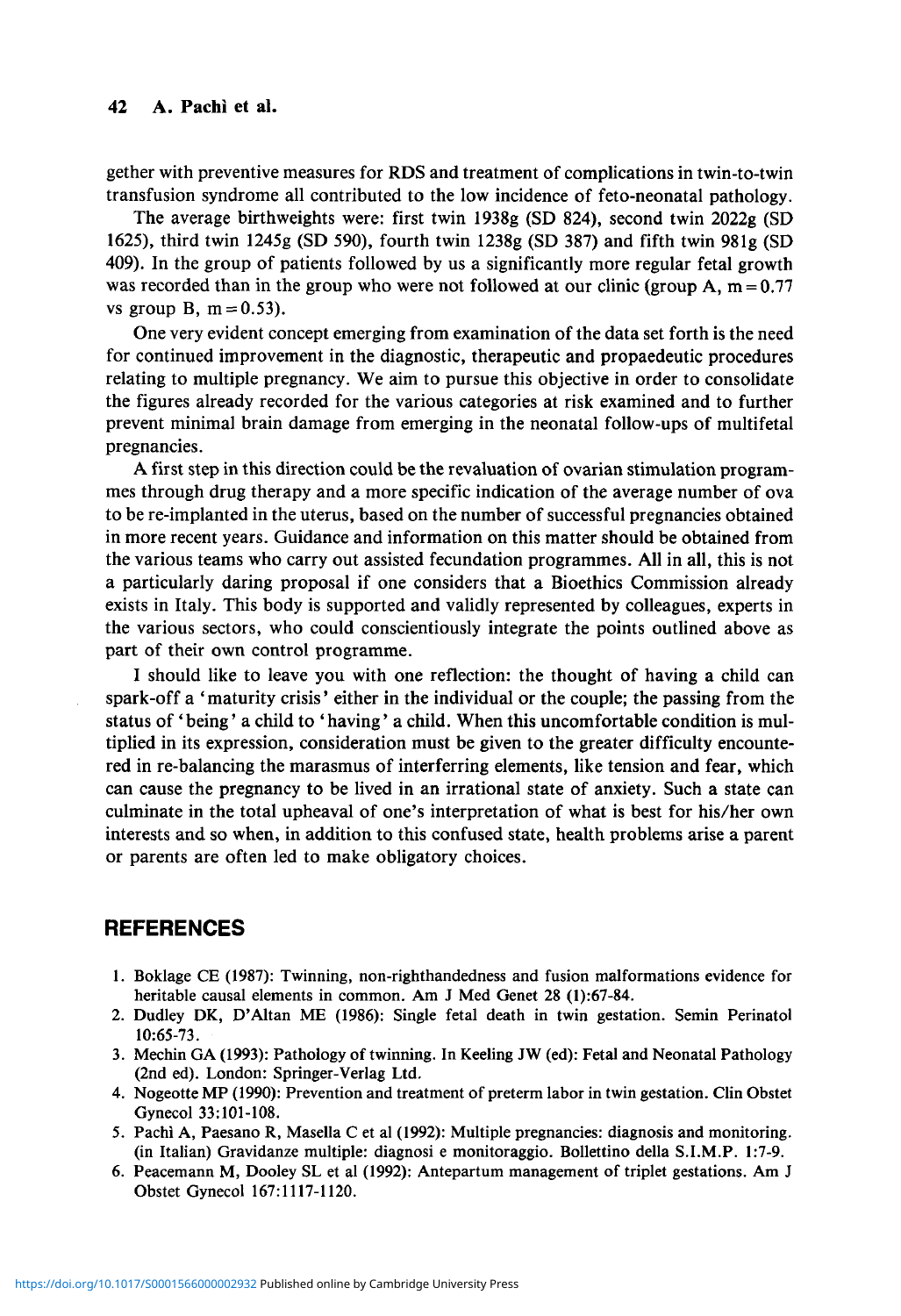#### 42 A. Pachi et al.

gether with preventive measures for RDS and treatment of complications in twin-to-twin transfusion syndrome all contributed to the low incidence of feto-neonatal pathology.

The average birthweights were: first twin 1938g (SD 824), second twin 2022g (SD 1625), third twin 1245g (SD 590), fourth twin 1238g (SD 387) and fifth twin 981g (SD 409). In the group of patients followed by us a significantly more regular fetal growth was recorded than in the group who were not followed at our clinic (group A,  $m = 0.77$ ) vs group B,  $m = 0.53$ ).

One very evident concept emerging from examination of the data set forth is the need for continued improvement in the diagnostic, therapeutic and propaedeutic procedures relating to multiple pregnancy. We aim to pursue this objective in order to consolidate the figures already recorded for the various categories at risk examined and to further prevent minimal brain damage from emerging in the neonatal follow-ups of multifetal pregnancies.

A first step in this direction could be the revaluation of ovarian stimulation programmes through drug therapy and a more specific indication of the average number of ova to be re-implanted in the uterus, based on the number of successful pregnancies obtained in more recent years. Guidance and information on this matter should be obtained from the various teams who carry out assisted fecundation programmes. All in all, this is not a particularly daring proposal if one considers that a Bioethics Commission already exists in Italy. This body is supported and validly represented by colleagues, experts in the various sectors, who could conscientiously integrate the points outlined above as part of their own control programme.

I should like to leave you with one reflection: the thought of having a child can spark-off a ' maturity crisis' either in the individual or the couple; the passing from the status of' being' a child to ' having' a child. When this uncomfortable condition is multiplied in its expression, consideration must be given to the greater difficulty encountered in re-balancing the marasmus of interferring elements, like tension and fear, which can cause the pregnancy to be lived in an irrational state of anxiety. Such a state can culminate in the total upheaval of one's interpretation of what is best for his/her own interests and so when, in addition to this confused state, health problems arise a parent or parents are often led to make obligatory choices.

#### **REFERENCES**

- 1. Boklage CE (1987): Twinning, non-righthandedness and fusion malformations evidence for heritable causal elements in common. Am J Med Genet 28 (1):67-84.
- 2. Dudley DK, D'Altan ME (1986): Single fetal death in twin gestation. Semin Perinatol 10:65-73.
- 3. Mechin GA (1993): Pathology of twinning. In Keeling JW (ed): Fetal and Neonatal Pathology (2nd ed). London: Springer-Verlag Ltd.
- 4. Nogeotte MP (1990): Prevention and treatment of preterm labor in twin gestation. Clin Obstet Gynecol 33:101-108.
- 5. Pachi A, Paesano R, Masella C et al (1992): Multiple pregnancies: diagnosis and monitoring, (in Italian) Gravidanze multiple: diagnosi e monitoraggio. Bollettino della S.I.M.P. 1:7-9.
- 6. Peacemann M, Dooley SL et al (1992): Antepartum management of triplet gestations. Am J Obstet Gynecol 167:1117-1120.